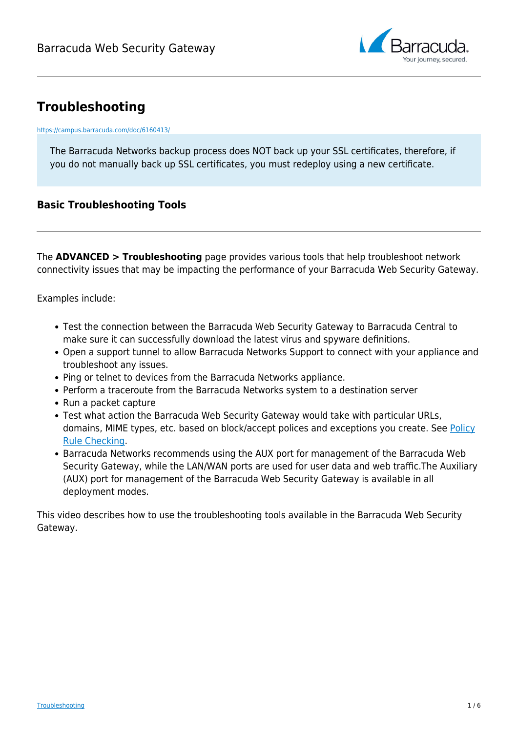

# **Troubleshooting**

#### <https://campus.barracuda.com/doc/6160413/>

The Barracuda Networks backup process does NOT back up your SSL certificates, therefore, if you do not manually back up SSL certificates, you must redeploy using a new certificate.

### **Basic Troubleshooting Tools**

The **ADVANCED > Troubleshooting** page provides various tools that help troubleshoot network connectivity issues that may be impacting the performance of your Barracuda Web Security Gateway.

Examples include:

- Test the connection between the Barracuda Web Security Gateway to Barracuda Central to make sure it can successfully download the latest virus and spyware definitions.
- Open a support tunnel to allow Barracuda Networks Support to connect with your appliance and troubleshoot any issues.
- Ping or telnet to devices from the Barracuda Networks appliance.
- Perform a traceroute from the Barracuda Networks system to a destination server
- Run a packet capture
- Test what action the Barracuda Web Security Gateway would take with particular URLs, domains, MIME types, etc. based on block/accept polices and exceptions you create. See [Policy](http://campus.barracuda.com/doc/41110901/) [Rule Checking](http://campus.barracuda.com/doc/41110901/).
- Barracuda Networks recommends using the AUX port for management of the Barracuda Web Security Gateway, while the LAN/WAN ports are used for user data and web traffic.The Auxiliary (AUX) port for management of the Barracuda Web Security Gateway is available in all deployment modes.

This video describes how to use the troubleshooting tools available in the Barracuda Web Security Gateway.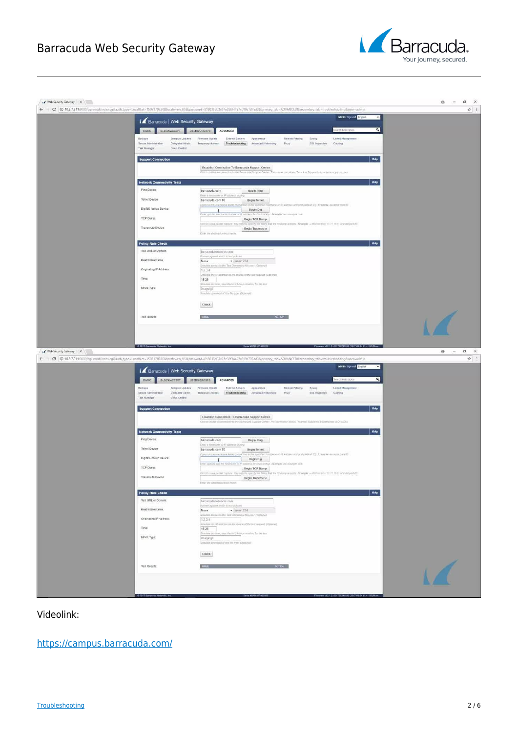## Barracuda Web Security Gateway





Videolink:

[https://campus.barracuda.com/](http://campus.barracuda.com/)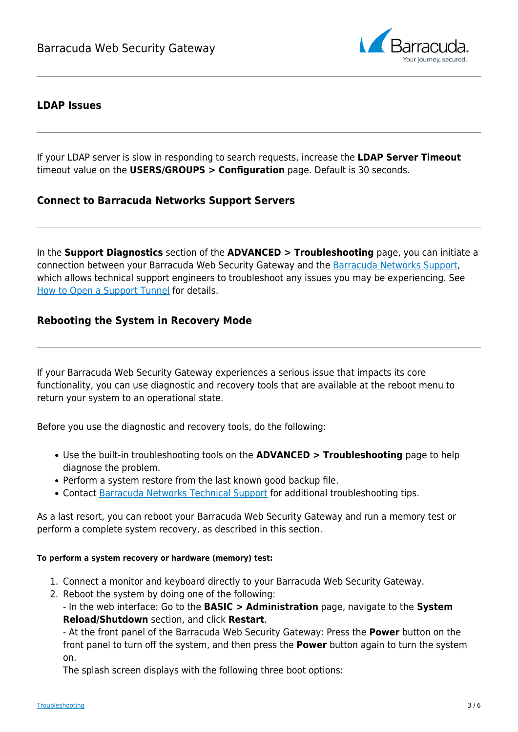

### **LDAP Issues**

If your LDAP server is slow in responding to search requests, increase the **LDAP Server Timeout** timeout value on the **USERS/GROUPS > Configuration** page. Default is 30 seconds.

### **Connect to Barracuda Networks Support Servers**

In the **Support Diagnostics** section of the **ADVANCED > Troubleshooting** page, you can initiate a connection between your Barracuda Web Security Gateway and the [Barracuda Networks Support,](http://campus.barracuda.com/doc/5472272/) which allows technical support engineers to troubleshoot any issues you may be experiencing. See [How to Open a Support Tunnel](http://campus.barracuda.com/doc/44436172/) for details.

### **Rebooting the System in Recovery Mode**

If your Barracuda Web Security Gateway experiences a serious issue that impacts its core functionality, you can use diagnostic and recovery tools that are available at the reboot menu to return your system to an operational state.

Before you use the diagnostic and recovery tools, do the following:

- Use the built-in troubleshooting tools on the **ADVANCED > Troubleshooting** page to help diagnose the problem.
- Perform a system restore from the last known good backup file.
- Contact [Barracuda Networks Technical Support](https://www.barracuda.com/support/index) for additional troubleshooting tips.

As a last resort, you can reboot your Barracuda Web Security Gateway and run a memory test or perform a complete system recovery, as described in this section.

#### **To perform a system recovery or hardware (memory) test:**

- 1. Connect a monitor and keyboard directly to your Barracuda Web Security Gateway.
- 2. Reboot the system by doing one of the following:

- In the web interface: Go to the **BASIC > Administration** page, navigate to the **System Reload/Shutdown** section, and click **Restart**.

- At the front panel of the Barracuda Web Security Gateway: Press the **Power** button on the front panel to turn off the system, and then press the **Power** button again to turn the system on.

The splash screen displays with the following three boot options: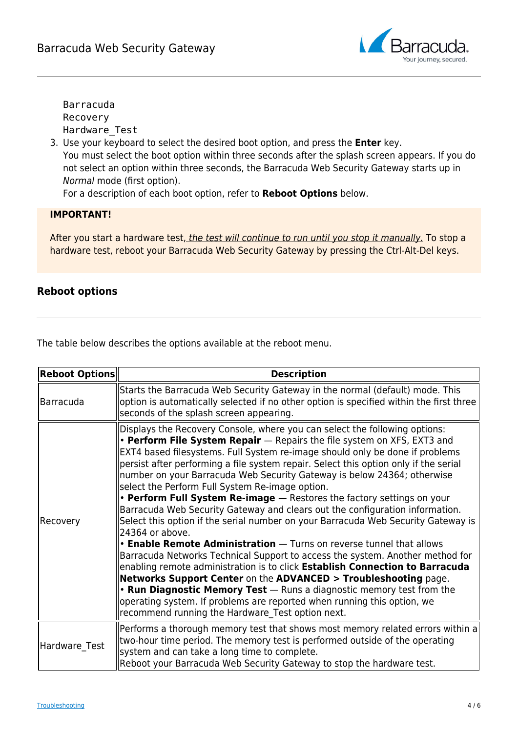

Barracuda Recovery Hardware\_Test

3. Use your keyboard to select the desired boot option, and press the **Enter** key. You must select the boot option within three seconds after the splash screen appears. If you do not select an option within three seconds, the Barracuda Web Security Gateway starts up in Normal mode (first option).

For a description of each boot option, refer to **Reboot Options** below.

### **IMPORTANT!**

After you start a hardware test, the test will continue to run until you stop it manually. To stop a hardware test, reboot your Barracuda Web Security Gateway by pressing the Ctrl-Alt-Del keys.

### **Reboot options**

The table below describes the options available at the reboot menu.

| <b>Reboot Options</b> | <b>Description</b>                                                                                                                                                                                                                                                                                                                                                                                                                                                                                                                                                                                                                                                                                                                                                                                                                                                                                                                                                                                                                                                                                                                                                                                                                                |
|-----------------------|---------------------------------------------------------------------------------------------------------------------------------------------------------------------------------------------------------------------------------------------------------------------------------------------------------------------------------------------------------------------------------------------------------------------------------------------------------------------------------------------------------------------------------------------------------------------------------------------------------------------------------------------------------------------------------------------------------------------------------------------------------------------------------------------------------------------------------------------------------------------------------------------------------------------------------------------------------------------------------------------------------------------------------------------------------------------------------------------------------------------------------------------------------------------------------------------------------------------------------------------------|
| Barracuda             | Starts the Barracuda Web Security Gateway in the normal (default) mode. This<br>option is automatically selected if no other option is specified within the first three<br>seconds of the splash screen appearing.                                                                                                                                                                                                                                                                                                                                                                                                                                                                                                                                                                                                                                                                                                                                                                                                                                                                                                                                                                                                                                |
| Recovery              | Displays the Recovery Console, where you can select the following options:<br>• Perform File System Repair - Repairs the file system on XFS, EXT3 and<br>EXT4 based filesystems. Full System re-image should only be done if problems<br>persist after performing a file system repair. Select this option only if the serial<br>number on your Barracuda Web Security Gateway is below 24364; otherwise<br>select the Perform Full System Re-image option.<br>• Perform Full System Re-image - Restores the factory settings on your<br>Barracuda Web Security Gateway and clears out the configuration information.<br>Select this option if the serial number on your Barracuda Web Security Gateway is<br>24364 or above.<br>• Enable Remote Administration - Turns on reverse tunnel that allows<br>Barracuda Networks Technical Support to access the system. Another method for<br>enabling remote administration is to click Establish Connection to Barracuda<br>Networks Support Center on the ADVANCED > Troubleshooting page.<br>• Run Diagnostic Memory Test - Runs a diagnostic memory test from the<br>operating system. If problems are reported when running this option, we<br>recommend running the Hardware Test option next. |
| Hardware Test         | Performs a thorough memory test that shows most memory related errors within a<br>two-hour time period. The memory test is performed outside of the operating<br>system and can take a long time to complete.<br>Reboot your Barracuda Web Security Gateway to stop the hardware test.                                                                                                                                                                                                                                                                                                                                                                                                                                                                                                                                                                                                                                                                                                                                                                                                                                                                                                                                                            |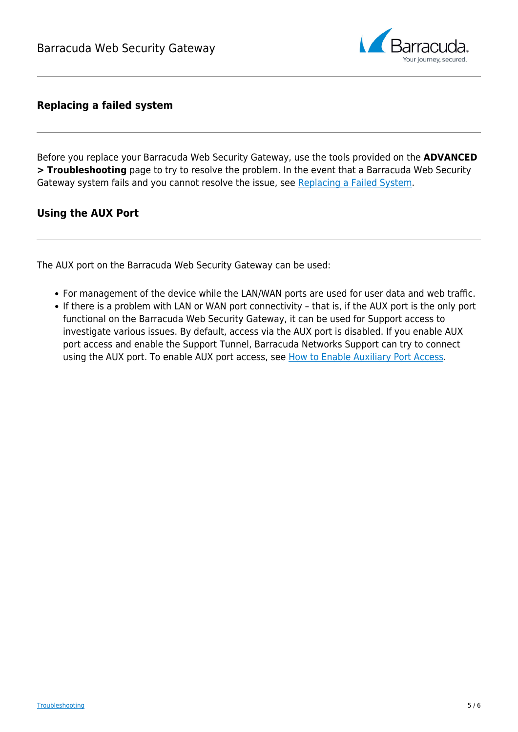

### **Replacing a failed system**

Before you replace your Barracuda Web Security Gateway, use the tools provided on the **ADVANCED > Troubleshooting** page to try to resolve the problem. In the event that a Barracuda Web Security Gateway system fails and you cannot resolve the issue, see [Replacing a Failed System.](http://campus.barracuda.com/doc/91985967/)

### **Using the AUX Port**

The AUX port on the Barracuda Web Security Gateway can be used:

- For management of the device while the LAN/WAN ports are used for user data and web traffic.
- If there is a problem with LAN or WAN port connectivity that is, if the AUX port is the only port functional on the Barracuda Web Security Gateway, it can be used for Support access to investigate various issues. By default, access via the AUX port is disabled. If you enable AUX port access and enable the Support Tunnel, Barracuda Networks Support can try to connect using the AUX port. To enable AUX port access, see [How to Enable Auxiliary Port Access.](http://campus.barracuda.com/doc/96014522/)